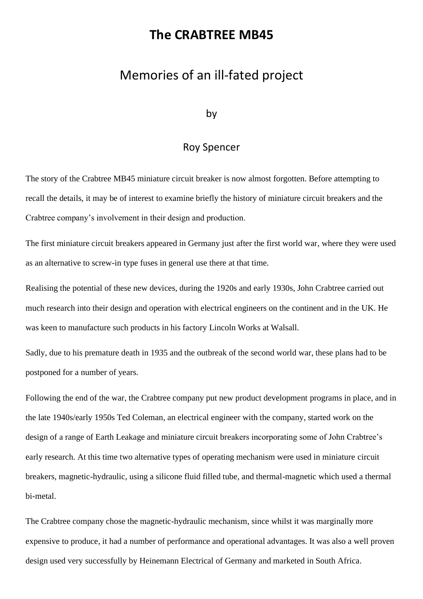## **The CRABTREE MB45**

## Memories of an ill-fated project

## by

## Roy Spencer

The story of the Crabtree MB45 miniature circuit breaker is now almost forgotten. Before attempting to recall the details, it may be of interest to examine briefly the history of miniature circuit breakers and the Crabtree company's involvement in their design and production.

The first miniature circuit breakers appeared in Germany just after the first world war, where they were used as an alternative to screw-in type fuses in general use there at that time.

Realising the potential of these new devices, during the 1920s and early 1930s, John Crabtree carried out much research into their design and operation with electrical engineers on the continent and in the UK. He was keen to manufacture such products in his factory Lincoln Works at Walsall.

Sadly, due to his premature death in 1935 and the outbreak of the second world war, these plans had to be postponed for a number of years.

Following the end of the war, the Crabtree company put new product development programs in place, and in the late 1940s/early 1950s Ted Coleman, an electrical engineer with the company, started work on the design of a range of Earth Leakage and miniature circuit breakers incorporating some of John Crabtree's early research. At this time two alternative types of operating mechanism were used in miniature circuit breakers, magnetic-hydraulic, using a silicone fluid filled tube, and thermal-magnetic which used a thermal bi-metal.

The Crabtree company chose the magnetic-hydraulic mechanism, since whilst it was marginally more expensive to produce, it had a number of performance and operational advantages. It was also a well proven design used very successfully by Heinemann Electrical of Germany and marketed in South Africa.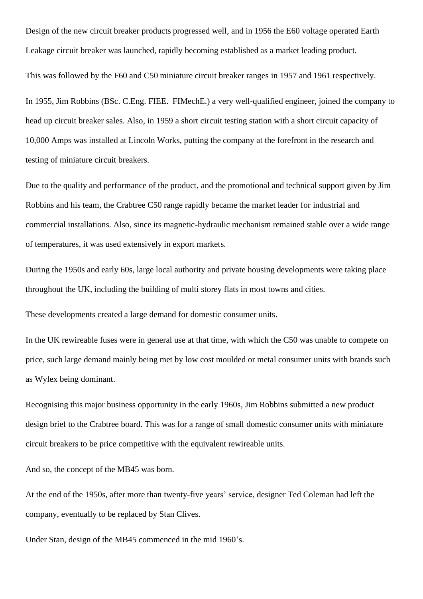Design of the new circuit breaker products progressed well, and in 1956 the E60 voltage operated Earth Leakage circuit breaker was launched, rapidly becoming established as a market leading product.

This was followed by the F60 and C50 miniature circuit breaker ranges in 1957 and 1961 respectively.

In 1955, Jim Robbins (BSc. C.Eng. FIEE. FIMechE.) a very well-qualified engineer, joined the company to head up circuit breaker sales. Also, in 1959 a short circuit testing station with a short circuit capacity of 10,000 Amps was installed at Lincoln Works, putting the company at the forefront in the research and testing of miniature circuit breakers.

Due to the quality and performance of the product, and the promotional and technical support given by Jim Robbins and his team, the Crabtree C50 range rapidly became the market leader for industrial and commercial installations. Also, since its magnetic-hydraulic mechanism remained stable over a wide range of temperatures, it was used extensively in export markets.

During the 1950s and early 60s, large local authority and private housing developments were taking place throughout the UK, including the building of multi storey flats in most towns and cities.

These developments created a large demand for domestic consumer units.

In the UK rewireable fuses were in general use at that time, with which the C50 was unable to compete on price, such large demand mainly being met by low cost moulded or metal consumer units with brands such as Wylex being dominant.

Recognising this major business opportunity in the early 1960s, Jim Robbins submitted a new product design brief to the Crabtree board. This was for a range of small domestic consumer units with miniature circuit breakers to be price competitive with the equivalent rewireable units.

And so, the concept of the MB45 was born.

At the end of the 1950s, after more than twenty-five years' service, designer Ted Coleman had left the company, eventually to be replaced by Stan Clives.

Under Stan, design of the MB45 commenced in the mid 1960's.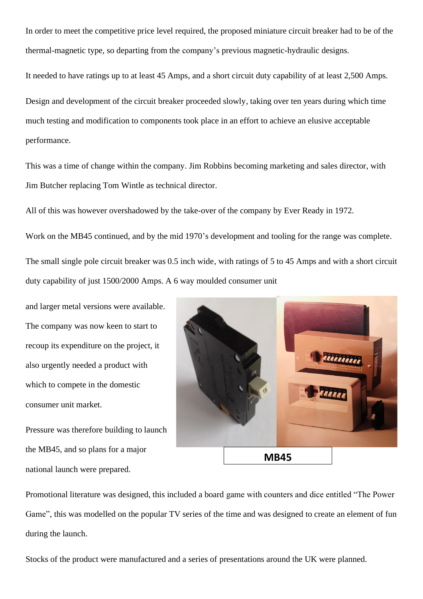In order to meet the competitive price level required, the proposed miniature circuit breaker had to be of the thermal-magnetic type, so departing from the company's previous magnetic-hydraulic designs.

It needed to have ratings up to at least 45 Amps, and a short circuit duty capability of at least 2,500 Amps. Design and development of the circuit breaker proceeded slowly, taking over ten years during which time much testing and modification to components took place in an effort to achieve an elusive acceptable performance.

This was a time of change within the company. Jim Robbins becoming marketing and sales director, with Jim Butcher replacing Tom Wintle as technical director.

All of this was however overshadowed by the take-over of the company by Ever Ready in 1972.

Work on the MB45 continued, and by the mid 1970's development and tooling for the range was complete.

The small single pole circuit breaker was 0.5 inch wide, with ratings of 5 to 45 Amps and with a short circuit duty capability of just 1500/2000 Amps. A 6 way moulded consumer unit

and larger metal versions were available. The company was now keen to start to recoup its expenditure on the project, it also urgently needed a product with which to compete in the domestic consumer unit market.

Pressure was therefore building to launch the MB45, and so plans for a major national launch were prepared.



Promotional literature was designed, this included a board game with counters and dice entitled "The Power Game", this was modelled on the popular TV series of the time and was designed to create an element of fun during the launch.

Stocks of the product were manufactured and a series of presentations around the UK were planned.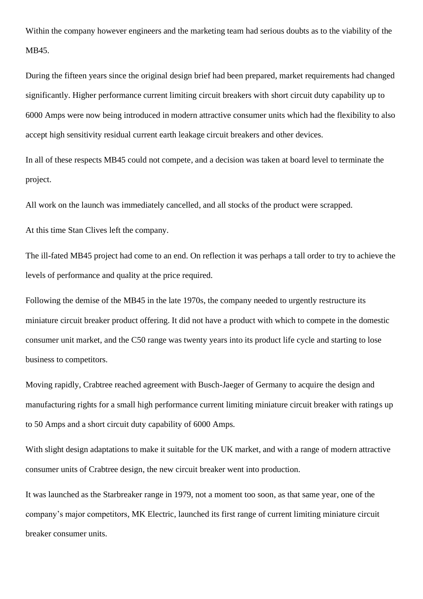Within the company however engineers and the marketing team had serious doubts as to the viability of the MB45.

During the fifteen years since the original design brief had been prepared, market requirements had changed significantly. Higher performance current limiting circuit breakers with short circuit duty capability up to 6000 Amps were now being introduced in modern attractive consumer units which had the flexibility to also accept high sensitivity residual current earth leakage circuit breakers and other devices.

In all of these respects MB45 could not compete, and a decision was taken at board level to terminate the project.

All work on the launch was immediately cancelled, and all stocks of the product were scrapped.

At this time Stan Clives left the company.

The ill-fated MB45 project had come to an end. On reflection it was perhaps a tall order to try to achieve the levels of performance and quality at the price required.

Following the demise of the MB45 in the late 1970s, the company needed to urgently restructure its miniature circuit breaker product offering. It did not have a product with which to compete in the domestic consumer unit market, and the C50 range was twenty years into its product life cycle and starting to lose business to competitors.

Moving rapidly, Crabtree reached agreement with Busch-Jaeger of Germany to acquire the design and manufacturing rights for a small high performance current limiting miniature circuit breaker with ratings up to 50 Amps and a short circuit duty capability of 6000 Amps.

With slight design adaptations to make it suitable for the UK market, and with a range of modern attractive consumer units of Crabtree design, the new circuit breaker went into production.

It was launched as the Starbreaker range in 1979, not a moment too soon, as that same year, one of the company's major competitors, MK Electric, launched its first range of current limiting miniature circuit breaker consumer units.